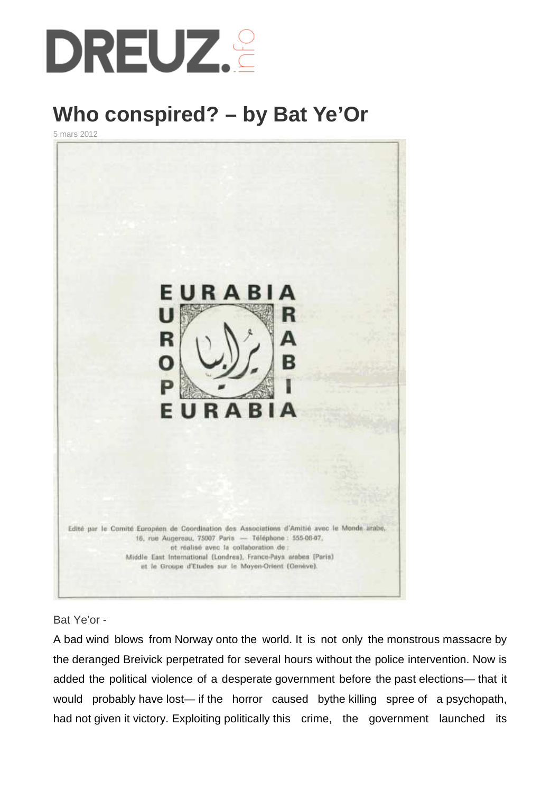

# **Who conspired? – by Bat Ye'Or**

5 mars 2012



### Bat Ye'or -

A bad wind blows from Norway onto the world. It is not only the monstrous massacre by the deranged Breivick perpetrated for several hours without the police intervention. Now is added the political violence of a desperate government before the past elections— that it would probably have lost— if the horror caused bythe killing spree of a psychopath, had not given it victory. Exploiting politically this crime, the government launched its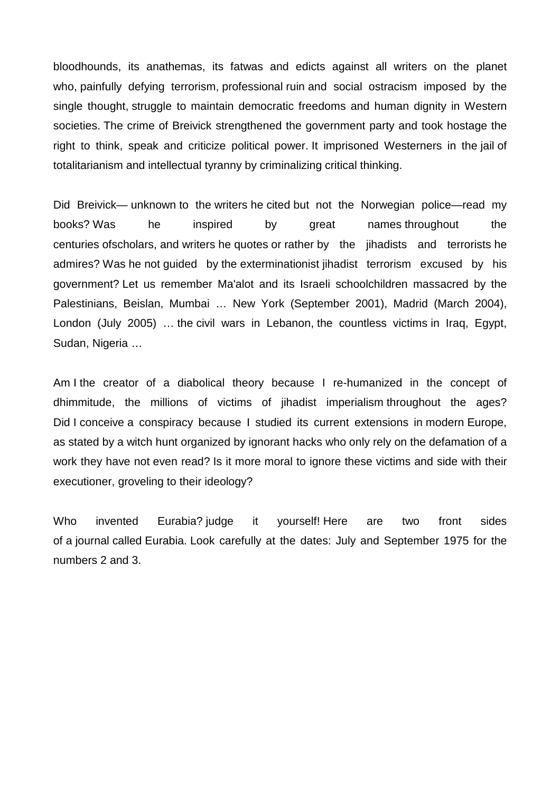bloodhounds, its anathemas, its fatwas and edicts against all writers on the planet who, painfully defying terrorism, professional ruin and social ostracism imposed by the single thought, struggle to maintain democratic freedoms and human dignity in Western societies. The crime of Breivick strengthened the government party and took hostage the right to think, speak and criticize political power. It imprisoned Westerners in the jail of totalitarianism and intellectual tyranny by criminalizing critical thinking.

Did Breivick— unknown to the writers he cited but not the Norwegian police—read my books? Was he inspired by great names throughout the centuries ofscholars, and writers he quotes or rather by the jihadists and terrorists he admires? Was he not guided by the exterminationist jihadist terrorism excused by his government? Let us remember Ma'alot and its Israeli schoolchildren massacred by the Palestinians, Beislan, Mumbai … New York (September 2001), Madrid (March 2004), London (July 2005) … the civil wars in Lebanon, the countless victims in Iraq, Egypt, Sudan, Nigeria …

Am I the creator of a diabolical theory because I re-humanized in the concept of dhimmitude, the millions of victims of jihadist imperialism throughout the ages? Did I conceive a conspiracy because I studied its current extensions in modern Europe, as stated by a witch hunt organized by ignorant hacks who only rely on the defamation of a work they have not even read? Is it more moral to ignore these victims and side with their executioner, groveling to their ideology?

Who invented Eurabia? judge it yourself! Here are two front sides of a journal called Eurabia. Look carefully at the dates: July and September 1975 for the numbers 2 and 3.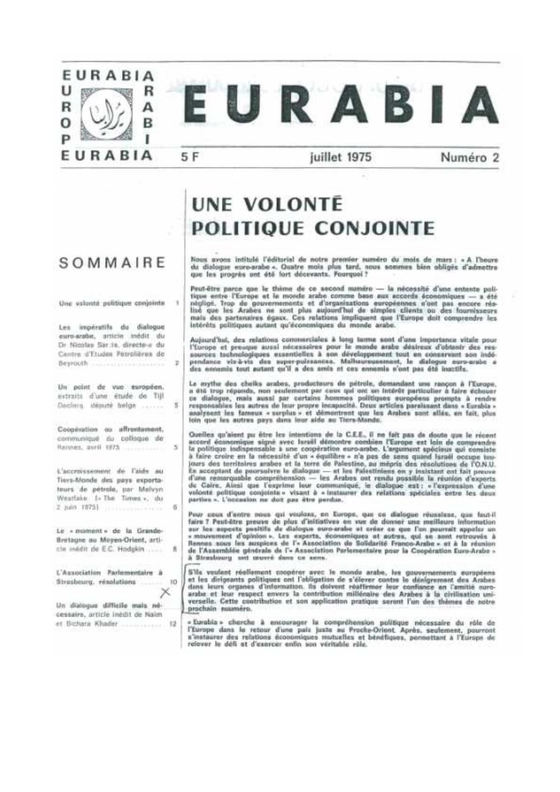

# SOMMAIRE

Une valunté politique conjointe

 $\mathbf{u}$ 

 $\overline{1}$ 

 $\overline{\phantom{a}}$ 

 $\overline{\mathcal{N}}$ 

西

 $\hbar$ 

Les impératifs du dialogue euro-arabe, amicie inédit du Dr Nicolas Sar.is, directo-a du Centre d'Etudes Petrolières de Beyondh ....................

Un point de vue européen. extraits d'une étude de TIJI Dacints, stéputé bélge ......

Cooperation ou affrontement, communiqué du colloque de Rennes putil 1975

L'accroissement de l'aide au Tiers-Monde des pays exportateurs de pétrole, par Melvyn Weatlake 1-The Times », du 2 Juin 1975) ....................

Le « monsent » de la Grande-Brétagne au Moyen-Orient, articla inddit de E.C. Hodgkin

L'Association Parlomentaire à Strasbourg, résolutions 10 Un dialogue difficile mais nécessaire, article inédit de Naim

er Bithara Khader  $-0.5$ 

# **UNE VOLONTÉ POLITIQUE CONJOINTE**

Nous avons intitulé l'éditorial de notre premier suméro du mais de mars : « A l'heure<br>du diologue euro-arabe «. Quatre stois plus tard, sous sommes bien obligés d'admettre que les progrès ant été fort décevants. Fourquoi?

Peut-être parce que le thème de ce ascond numéro - la nécessité d'une entente poli-<br>tique entre l'Europe et le monde arabe comme base aux accords économiques -- a été Tape entre l'Europe et le monds acade l'organisations aux accords sconomiques -- a eté<br>n'epigé, Trop de gouvernements et d'organisations européennes n'ont pas encore rés-<br>lisé que les Arabes ne sont plus aujourd'hui de sim

Acjourd'hui, des miations commerciales à long terme sont d'une impertance vitale pour l'Europe et presque aussi nécessaires pour le monde arabe désireux d'obtenir des ressures tachnologiques essentielles à son développemen des ennemis tout autant cu'il a des amis et cos ennomis n'ont pas été inactifs.

Le mythe des cheiks arabes, producteurs de pétrole, domandant une rançon à l'Europe. Le mythe des cheixs arabes, producteurs de petrons, commendant une rançon a l'increpe.<br>
a été trop répunds, non sussiement par cous qui une un instruct particulier à faire échouer<br>
ce dialogue, mais aussi par certains homm

Quelles qu'aient pu être les intentions de la C.E.E., il ne fait pas de doute que le récent<br>accord économique signé avec Israïl démontre combien l'Europe est loin de comprendre<br>la politique indispensable à une coopération à faire croire en la nécessité d'un « équilibre » n'a pas de sans quand israël occupe toui curs des territoires arabes et la terre de Palestine, au mépris des résolutions de l'O.N.U.<br>Le acceptant de poursuivre le dialogue — et les Palestiniens on y insistant ont fait preuve<br>d'une remorquable compréhension — le velocté politique conjointe « visant à « instaurer des relations spéciales cetre les deux<br>parties ». L'occasion ne doit pas être perdue.

Peur ceux d'entre nous qui voulonz, en Europe, que ce dialogue réussitant, que faut-il fairs 7 Peut-âtre preuve de plus d'initiatives en vue de donner une meilleurs information<br>sur les aspects positifs de dialogue ouvo-arabe et crête ce que l'on pourrait appeler un<br>« mouvement d'opinion ». Les oxperts, écono de l'Assemblée générale de l'« Association Parlementaire pour la Coopération Euro-Arabo » à Strasboorg not couvré dans ce sem-

S'ils voulent réaliement coopérer avec le monde arabe, les gouvernaments européens<br>et les dirigeants politiques ont l'obligation de s'élever contre le dénigrement des Arabes<br>dans leurs organes d'information. Ils doivent ré arabe et leur respect envers la contribution millénaire des Arabes à la cirilisation universelle. Cette contribution et son application pratique seront l'un des thèmes de notre orochain nuuméro.

« Eurabia » cherche à encourager la compréhension politique nécessaire du rôle de<br>l'Éurope dans le retour d'une paix juste au Proche-Orient. Après, seulement, pourront<br>s'instaurer des relations économiques mutuelles et bén relever le défi et d'exercer enfin son véritable rèle.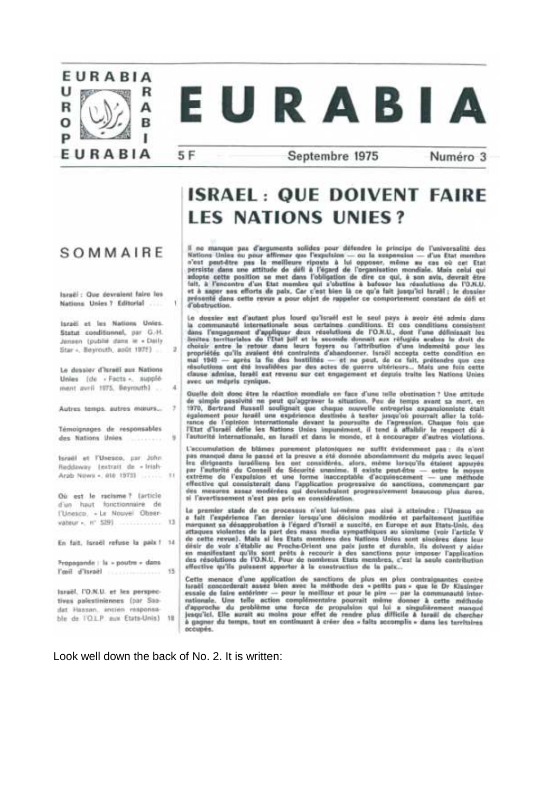

5 F

ł.

19

 $\overline{4}$ 

- 7

# EURABIA

Septembre 1975

Numéro 3

# **ISRAEL: QUE DOIVENT FAIRE LES NATIONS UNIES?**

# Il no manque pas d'arguments solides pour défendre le principe de l'universalité des n no manque pas d'arguments sondes pour detendre le principe de l'universalité des<br>Kritons Unies ou pour affirmer que l'expublien — ou la suspension — d'un Etat membre<br>a'est pout-être pas la mellieure ripoute à lui opposer présenté dans cette revue a pour objet de rappeler ce comportement constant de défi et d'obstruction.

Le dessier aut d'autant plus lourd qu'israil est le seul pays à avoir été admis dans<br>la communauté internationale sous certaines conditions. Et ces conditions consistent<br>dans l'angagement d'appliquer deux résolutions de l mai 1949 - après la fin des hostilités - et ne pout, de ce fait, prétendre que ces<br>résolutions ont été invalidées par des actes de guerre uitérieurs... Mais une foie cette clause admise, Israël est revenu sur cet engagement et depuis traite les Nations Unies avec un mépris cynique.

Quelle doit donc être la réaction mondiale en face d'une telle obstination ? Une attitude que s'en donc vers le peut qu'agraver le situation. Peut déré temple passion ? Une antitude<br>1970, Bertrand Russell soulignait que chaque nuvelle entroprise examplomiste était<br>1970, Bertrand Russell soulignait que chaque nu l'autorité internationale, en Israèl et dans le mondo, et à encourager d'autres violetions.

L'accumulation de blames purement platoniques ne suffit évidenment pas : ils n'ont pas manqué dans le passé et la preuve a été donnée abondamment du mépris avec lequel<br>les dirigeants inradileres les cet considérés, alors, même lorsqu'ils étaient appuyés<br>par l'autorité du Conseil de Sécurité unanime. Il e extreme de l'expulsion et une forme inacceptable d'acquisscament - une méthode<br>effective qui consisterait dans l'application progressive de sanctions, commençant par<br>des meaures assaz modérées qui deviendraient progressive al l'avertissement n'est pas pris en considération.

Le premier stade de ce processus n'ost lui-même pas aisé à attoindre : l'Unesco on<br>a fait l'expérience l'an dernier lersqu'une décision modèrée et parfaitement justifiée<br>marquant sa désapprobation à l'égard d'Israël a susc attaques violentes de la part des mass media sympathiques au sionisme (voir l'article V de cette revue). Mais si les Etats membres des Vations Union sont sinoères dans leur drair de voir s'établir au Proche-Orient une paix juste et durable, ils deivent y aider<br>en manifestant qu'ils sont prêts à recourir à des sanctions pour imposer l'application<br>des résolutions de l'O.N.U. Pour de nombreux Et effective qu'ils poissent apporter à la construction de la patx...

Cette menace d'une application de sanctions de plus en plus contraignantes contre<br>tarail executionnait annua blen avec la méthode des « petils pas » que le Dr Kissinger<br>essaie de faire entérieur — pour le méllieur et pour à gagner du temps, taut en continuant à créer des « faits accomplis » dans les territaires occupés.

Look well down the back of No. 2. It is written:

## SOMMAIRE

largëi ; Que devraient faire les Nations Unies ? Editorial

Israël et les Nations Unies. Statut conditionnel, par G.H. Jensen (publié dans le « Daily Star +, Beyrouth, andt 1975) ...

Le dessier d'israël aux Nations Unies (de « Facta », supplément avril 1975. Beyrouth1

Autres temps, autres manurs...

Témoionages de responsables des Nations Unies

teratil et l'Unesco, par John Reddaway Lestrait de « Irish-Arab News <. 010 19751 ........... 11

Où est le racisme? (article d'un haut fonctionnaire de l'Unesco, « Le Nouvel Observateur - н° 5291. ............... 13

En fait, licroel refuse la paix ! 14 Propagande : la » poutre » dans 

largel, I'O.N.U. et les perspectives palestiniennes (par Saadat Hassan, ancien responsable de l'OLP aux Etats-Unis) 18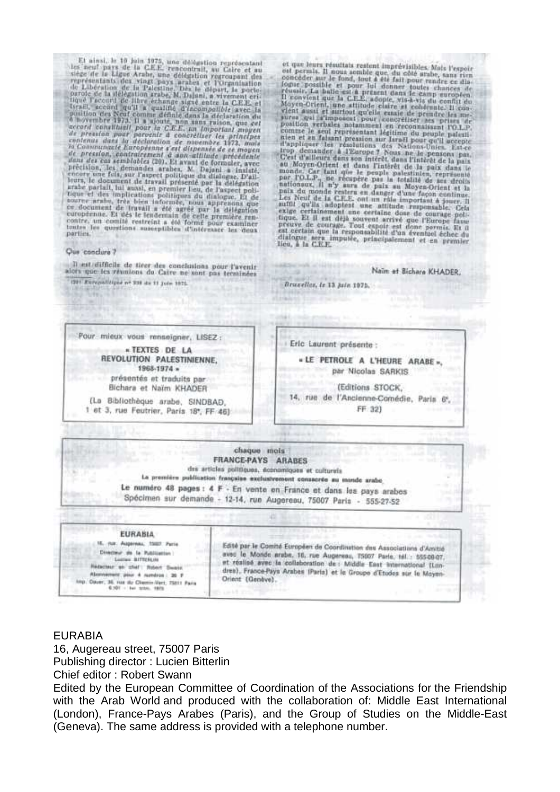El ainsi, le 10 luin 1975, une dévestion représentant les neuf pars de la C.E.P. rencontrait, au Caire et au vignémentants des visat pays senter le l'Organization regionale de Libération de la Palestine Des le départ, le

#### Que conclure?

Il est difficile de tirer des conclusions pour l'avenir<br>aicrs que les réunions du Caire ne sont pas terminées 1201 Europalizipad nº 338 de 11 Juin 1975.

et que leurs résultats reatent impréviaibles. Mats l'expoit est permis. Il nous aembre que du finitieur reatent en dialent possible et pour lei dentieurs dans de cause révaile. Il convértieurs dans le cause est a présuite

Brazeller, is 13 Juin 1975.

Naïn et Bichare KHADER.



#### EURABIA

16, Augereau street, 75007 Paris Publishing director : Lucien Bitterlin Chief editor : Robert Swann

Edited by the European Committee of Coordination of the Associations for the Friendship with the Arab World and produced with the collaboration of: Middle East International (London), France-Pays Arabes (Paris), and the Group of Studies on the Middle-East (Geneva). The same address is provided with a telephone number.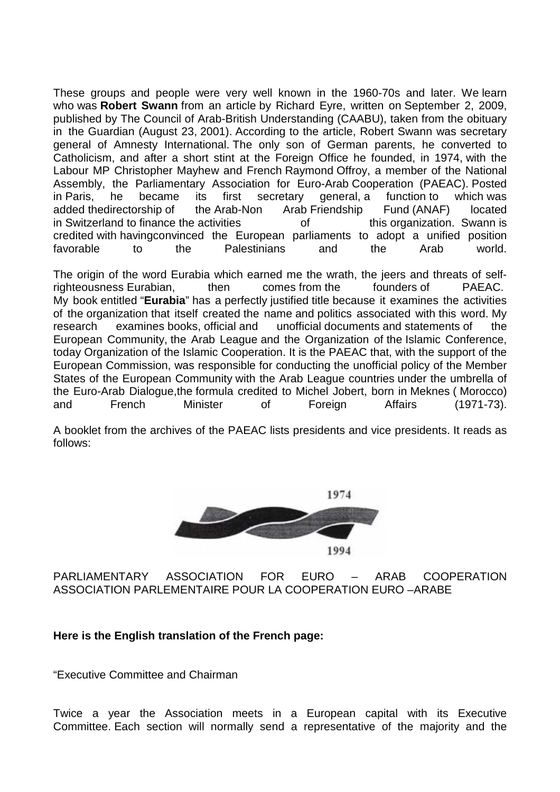These groups and people were very well known in the 1960-70s and later. We learn who was **Robert Swann** from an article by Richard Eyre, written on September 2, 2009, published by The Council of Arab-British Understanding (CAABU), taken from the obituary in the Guardian (August 23, 2001). According to the article, Robert Swann was secretary general of Amnesty International. The only son of German parents, he converted to Catholicism, and after a short stint at the Foreign Office he founded, in 1974, with the Labour MP Christopher Mayhew and French Raymond Offroy, a member of the National Assembly, the Parliamentary Association for Euro-Arab Cooperation (PAEAC). Posted in Paris, he became its first secretary general, a function to which was added thedirectorship of the Arab-Non Arab Friendship Fund (ANAF) located in Switzerland to finance the activities of this organization. Swann is credited with havingconvinced the European parliaments to adopt a unified position favorable to the Palestinians and the Arab world.

The origin of the word Eurabia which earned me the wrath, the jeers and threats of selfrighteousness Eurabian, then comes from the founders of PAEAC. My book entitled "**Eurabia**" has a perfectly justified title because it examines the activities of the organization that itself created the name and politics associated with this word. My research examines books, official and unofficial documents and statements of the European Community, the Arab League and the Organization of the Islamic Conference, today Organization of the Islamic Cooperation. It is the PAEAC that, with the support of the European Commission, was responsible for conducting the unofficial policy of the Member States of the European Community with the Arab League countries under the umbrella of the Euro-Arab Dialogue,the formula credited to Michel Jobert, born in Meknes ( Morocco) and French Minister of Foreign Affairs (1971-73).

A booklet from the archives of the PAEAC lists presidents and vice presidents. It reads as follows:



PARLIAMENTARY ASSOCIATION FOR EURO – ARAB COOPERATION ASSOCIATION PARLEMENTAIRE POUR LA COOPERATION EURO –ARABE

## **Here is the English translation of the French page:**

"Executive Committee and Chairman

Twice a year the Association meets in a European capital with its Executive Committee. Each section will normally send a representative of the majority and the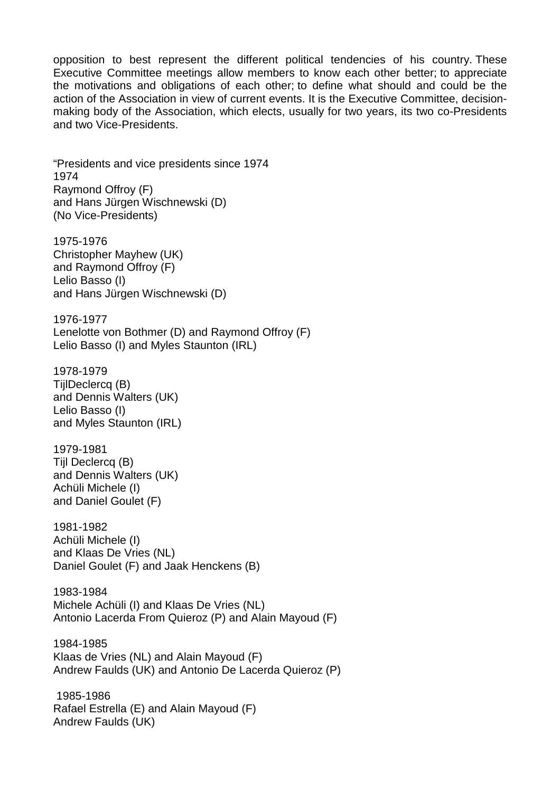opposition to best represent the different political tendencies of his country. These Executive Committee meetings allow members to know each other better; to appreciate the motivations and obligations of each other; to define what should and could be the action of the Association in view of current events. It is the Executive Committee, decisionmaking body of the Association, which elects, usually for two years, its two co-Presidents and two Vice-Presidents.

"Presidents and vice presidents since 1974 1974 Raymond Offroy (F) and Hans Jürgen Wischnewski (D) (No Vice-Presidents)

1975-1976 Christopher Mayhew (UK) and Raymond Offroy (F) Lelio Basso (I) and Hans Jürgen Wischnewski (D)

1976-1977 Lenelotte von Bothmer (D) and Raymond Offroy (F) Lelio Basso (I) and Myles Staunton (IRL)

1978-1979 TijlDeclercq (B) and Dennis Walters (UK) Lelio Basso (I) and Myles Staunton (IRL)

1979-1981 Tijl Declercq (B) and Dennis Walters (UK) Achüli Michele (I) and Daniel Goulet (F)

1981-1982 Achüli Michele (I) and Klaas De Vries (NL) Daniel Goulet (F) and Jaak Henckens (B)

1983-1984 Michele Achüli (I) and Klaas De Vries (NL) Antonio Lacerda From Quieroz (P) and Alain Mayoud (F)

1984-1985 Klaas de Vries (NL) and Alain Mayoud (F) Andrew Faulds (UK) and Antonio De Lacerda Quieroz (P)

 1985-1986 Rafael Estrella (E) and Alain Mayoud (F) Andrew Faulds (UK)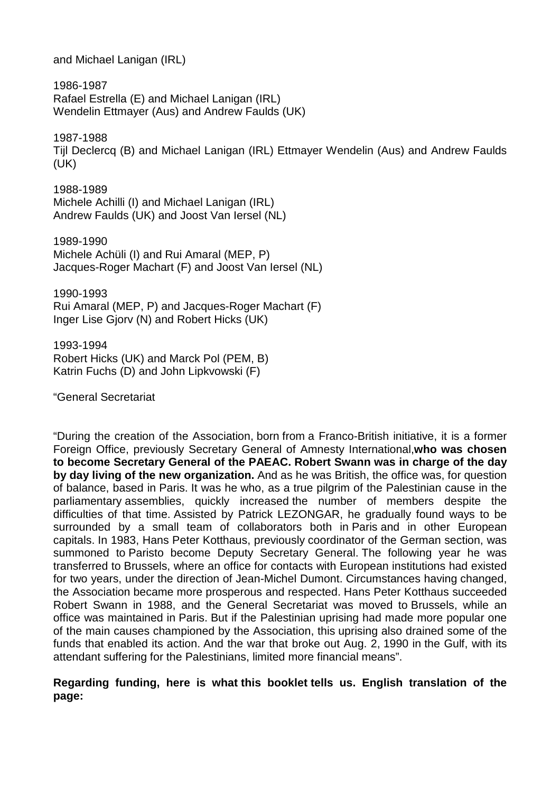and Michael Lanigan (IRL)

1986-1987 Rafael Estrella (E) and Michael Lanigan (IRL) Wendelin Ettmayer (Aus) and Andrew Faulds (UK)

1987-1988

Tijl Declercq (B) and Michael Lanigan (IRL) Ettmayer Wendelin (Aus) and Andrew Faulds (UK)

1988-1989 Michele Achilli (I) and Michael Lanigan (IRL) Andrew Faulds (UK) and Joost Van Iersel (NL)

1989-1990 Michele Achüli (I) and Rui Amaral (MEP, P) Jacques-Roger Machart (F) and Joost Van Iersel (NL)

1990-1993 Rui Amaral (MEP, P) and Jacques-Roger Machart (F) Inger Lise Gjorv (N) and Robert Hicks (UK)

1993-1994 Robert Hicks (UK) and Marck Pol (PEM, B) Katrin Fuchs (D) and John Lipkvowski (F)

"General Secretariat

"During the creation of the Association, born from a Franco-British initiative, it is a former Foreign Office, previously Secretary General of Amnesty International,**who was chosen to become Secretary General of the PAEAC. Robert Swann was in charge of the day by day living of the new organization.** And as he was British, the office was, for question of balance, based in Paris. It was he who, as a true pilgrim of the Palestinian cause in the parliamentary assemblies, quickly increased the number of members despite the difficulties of that time. Assisted by Patrick LEZONGAR, he gradually found ways to be surrounded by a small team of collaborators both in Paris and in other European capitals. In 1983, Hans Peter Kotthaus, previously coordinator of the German section, was summoned to Paristo become Deputy Secretary General. The following year he was transferred to Brussels, where an office for contacts with European institutions had existed for two years, under the direction of Jean-Michel Dumont. Circumstances having changed, the Association became more prosperous and respected. Hans Peter Kotthaus succeeded Robert Swann in 1988, and the General Secretariat was moved to Brussels, while an office was maintained in Paris. But if the Palestinian uprising had made more popular one of the main causes championed by the Association, this uprising also drained some of the funds that enabled its action. And the war that broke out Aug. 2, 1990 in the Gulf, with its attendant suffering for the Palestinians, limited more financial means".

**Regarding funding, here is what this booklet tells us. English translation of the page:**